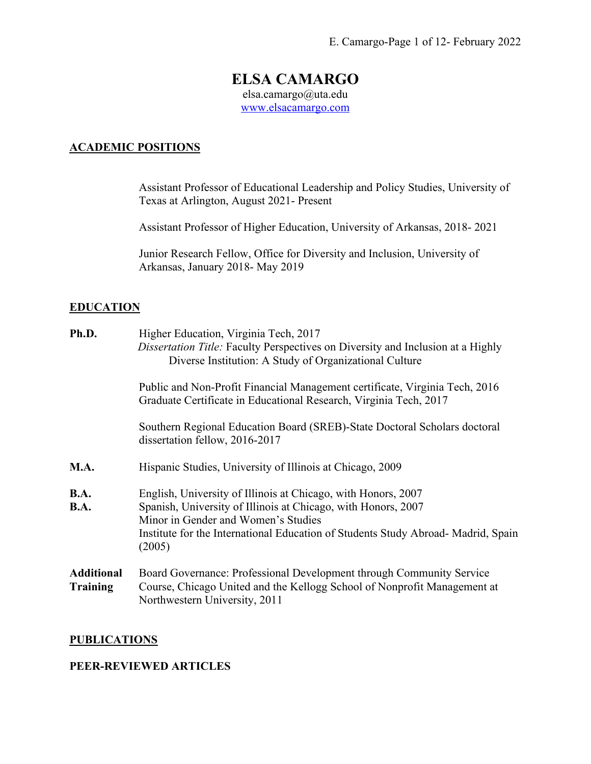# **ELSA CAMARGO**

elsa.camargo@uta.edu www.elsacamargo.com

## **ACADEMIC POSITIONS**

Assistant Professor of Educational Leadership and Policy Studies, University of Texas at Arlington, August 2021- Present

Assistant Professor of Higher Education, University of Arkansas, 2018- 2021

Junior Research Fellow, Office for Diversity and Inclusion, University of Arkansas, January 2018- May 2019

## **EDUCATION**

| Ph.D.                                | Higher Education, Virginia Tech, 2017<br><i>Dissertation Title:</i> Faculty Perspectives on Diversity and Inclusion at a Highly<br>Diverse Institution: A Study of Organizational Culture                                                                           |
|--------------------------------------|---------------------------------------------------------------------------------------------------------------------------------------------------------------------------------------------------------------------------------------------------------------------|
|                                      | Public and Non-Profit Financial Management certificate, Virginia Tech, 2016<br>Graduate Certificate in Educational Research, Virginia Tech, 2017                                                                                                                    |
|                                      | Southern Regional Education Board (SREB)-State Doctoral Scholars doctoral<br>dissertation fellow, 2016-2017                                                                                                                                                         |
| M.A.                                 | Hispanic Studies, University of Illinois at Chicago, 2009                                                                                                                                                                                                           |
| B.A.<br>B.A.                         | English, University of Illinois at Chicago, with Honors, 2007<br>Spanish, University of Illinois at Chicago, with Honors, 2007<br>Minor in Gender and Women's Studies<br>Institute for the International Education of Students Study Abroad-Madrid, Spain<br>(2005) |
| <b>Additional</b><br><b>Training</b> | Board Governance: Professional Development through Community Service<br>Course, Chicago United and the Kellogg School of Nonprofit Management at<br>Northwestern University, 2011                                                                                   |

### **PUBLICATIONS**

## **PEER-REVIEWED ARTICLES**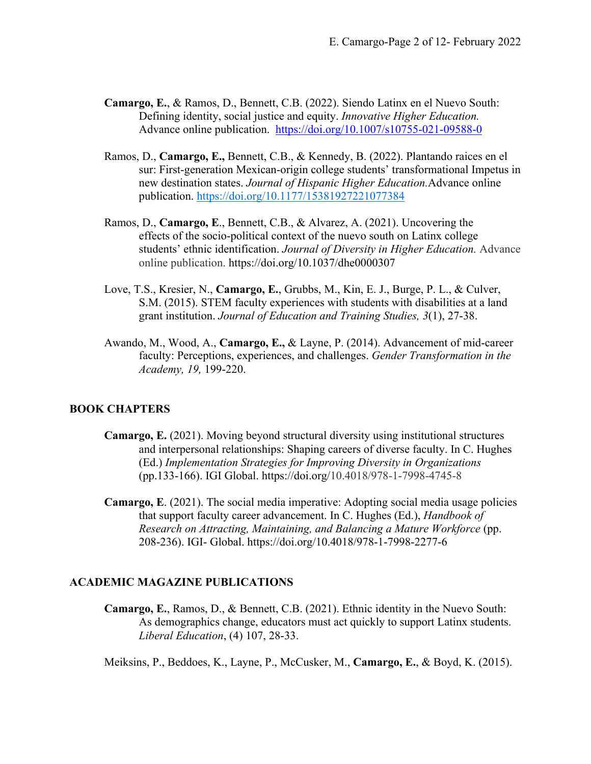- **Camargo, E.**, & Ramos, D., Bennett, C.B. (2022). Siendo Latinx en el Nuevo South: Defining identity, social justice and equity. *Innovative Higher Education.*  Advance online publication. https://doi.org/10.1007/s10755-021-09588-0
- Ramos, D., **Camargo, E.,** Bennett, C.B., & Kennedy, B. (2022). Plantando raices en el sur: First-generation Mexican-origin college students' transformational Impetus in new destination states. *Journal of Hispanic Higher Education.*Advance online publication. https://doi.org/10.1177/15381927221077384
- Ramos, D., **Camargo, E**., Bennett, C.B., & Alvarez, A. (2021). Uncovering the effects of the socio-political context of the nuevo south on Latinx college students' ethnic identification. *Journal of Diversity in Higher Education.* Advance online publication. https://doi.org/10.1037/dhe0000307
- Love, T.S., Kresier, N., **Camargo, E.**, Grubbs, M., Kin, E. J., Burge, P. L., & Culver, S.M. (2015). STEM faculty experiences with students with disabilities at a land grant institution. *Journal of Education and Training Studies, 3*(1), 27-38.
- Awando, M., Wood, A., **Camargo, E.,** & Layne, P. (2014). Advancement of mid-career faculty: Perceptions, experiences, and challenges. *Gender Transformation in the Academy, 19,* 199-220.

### **BOOK CHAPTERS**

- **Camargo, E.** (2021). Moving beyond structural diversity using institutional structures and interpersonal relationships: Shaping careers of diverse faculty. In C. Hughes (Ed.) *Implementation Strategies for Improving Diversity in Organizations*  (pp.133-166). IGI Global. https://doi.org/10.4018/978-1-7998-4745-8
- **Camargo, E**. (2021). The social media imperative: Adopting social media usage policies that support faculty career advancement. In C. Hughes (Ed.), *Handbook of Research on Attracting, Maintaining, and Balancing a Mature Workforce* (pp. 208-236). IGI- Global. https://doi.org/10.4018/978-1-7998-2277-6

#### **ACADEMIC MAGAZINE PUBLICATIONS**

**Camargo, E.**, Ramos, D., & Bennett, C.B. (2021). Ethnic identity in the Nuevo South: As demographics change, educators must act quickly to support Latinx students. *Liberal Education*, (4) 107, 28-33.

Meiksins, P., Beddoes, K., Layne, P., McCusker, M., **Camargo, E.**, & Boyd, K. (2015).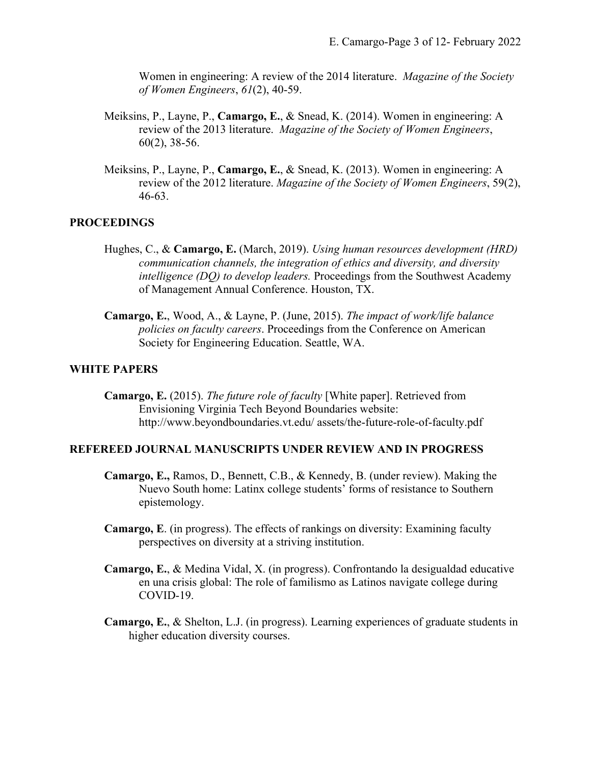Women in engineering: A review of the 2014 literature. *Magazine of the Society of Women Engineers*, *61*(2), 40-59.

- Meiksins, P., Layne, P., **Camargo, E.**, & Snead, K. (2014). Women in engineering: A review of the 2013 literature. *Magazine of the Society of Women Engineers*, 60(2), 38-56.
- Meiksins, P., Layne, P., **Camargo, E.**, & Snead, K. (2013). Women in engineering: A review of the 2012 literature. *Magazine of the Society of Women Engineers*, 59(2), 46-63.

### **PROCEEDINGS**

- Hughes, C., & **Camargo, E.** (March, 2019). *Using human resources development (HRD) communication channels, the integration of ethics and diversity, and diversity intelligence (DQ) to develop leaders.* Proceedings from the Southwest Academy of Management Annual Conference. Houston, TX.
- **Camargo, E.**, Wood, A., & Layne, P. (June, 2015). *The impact of work/life balance policies on faculty careers*. Proceedings from the Conference on American Society for Engineering Education. Seattle, WA.

#### **WHITE PAPERS**

**Camargo, E.** (2015). *The future role of faculty* [White paper]. Retrieved from Envisioning Virginia Tech Beyond Boundaries website: http://www.beyondboundaries.vt.edu/ assets/the-future-role-of-faculty.pdf

## **REFEREED JOURNAL MANUSCRIPTS UNDER REVIEW AND IN PROGRESS**

- **Camargo, E.,** Ramos, D., Bennett, C.B., & Kennedy, B. (under review). Making the Nuevo South home: Latinx college students' forms of resistance to Southern epistemology.
- **Camargo, E**. (in progress). The effects of rankings on diversity: Examining faculty perspectives on diversity at a striving institution.
- **Camargo, E.**, & Medina Vidal, X. (in progress). Confrontando la desigualdad educative en una crisis global: The role of familismo as Latinos navigate college during COVID-19.
- **Camargo, E.**, & Shelton, L.J. (in progress). Learning experiences of graduate students in higher education diversity courses.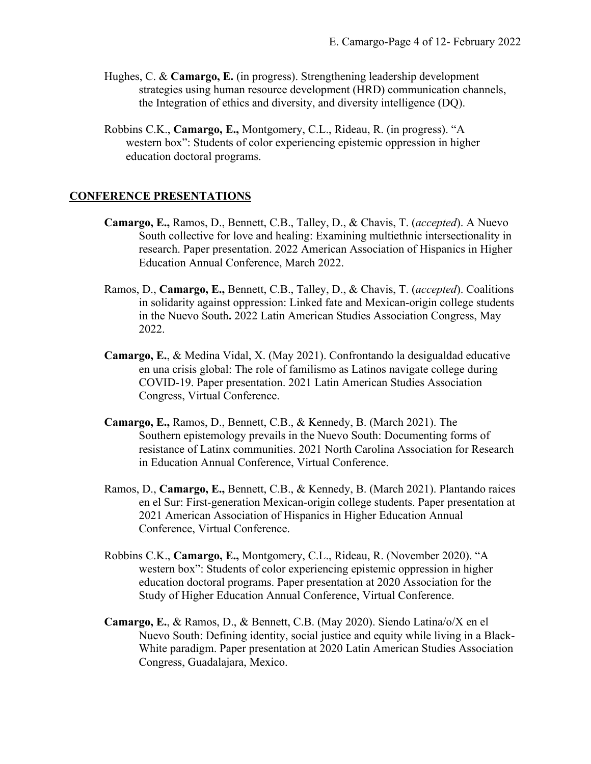- Hughes, C. & **Camargo, E.** (in progress). Strengthening leadership development strategies using human resource development (HRD) communication channels, the Integration of ethics and diversity, and diversity intelligence (DQ).
- Robbins C.K., **Camargo, E.,** Montgomery, C.L., Rideau, R. (in progress). "A western box": Students of color experiencing epistemic oppression in higher education doctoral programs.

### **CONFERENCE PRESENTATIONS**

- **Camargo, E.,** Ramos, D., Bennett, C.B., Talley, D., & Chavis, T. (*accepted*). A Nuevo South collective for love and healing: Examining multiethnic intersectionality in research. Paper presentation. 2022 American Association of Hispanics in Higher Education Annual Conference, March 2022.
- Ramos, D., **Camargo, E.,** Bennett, C.B., Talley, D., & Chavis, T. (*accepted*). Coalitions in solidarity against oppression: Linked fate and Mexican-origin college students in the Nuevo South**.** 2022 Latin American Studies Association Congress, May 2022.
- **Camargo, E.**, & Medina Vidal, X. (May 2021). Confrontando la desigualdad educative en una crisis global: The role of familismo as Latinos navigate college during COVID-19. Paper presentation. 2021 Latin American Studies Association Congress, Virtual Conference.
- **Camargo, E.,** Ramos, D., Bennett, C.B., & Kennedy, B. (March 2021). The Southern epistemology prevails in the Nuevo South: Documenting forms of resistance of Latinx communities. 2021 North Carolina Association for Research in Education Annual Conference, Virtual Conference.
- Ramos, D., **Camargo, E.,** Bennett, C.B., & Kennedy, B. (March 2021). Plantando raices en el Sur: First-generation Mexican-origin college students. Paper presentation at 2021 American Association of Hispanics in Higher Education Annual Conference, Virtual Conference.
- Robbins C.K., **Camargo, E.,** Montgomery, C.L., Rideau, R. (November 2020). "A western box": Students of color experiencing epistemic oppression in higher education doctoral programs. Paper presentation at 2020 Association for the Study of Higher Education Annual Conference, Virtual Conference.
- **Camargo, E.**, & Ramos, D., & Bennett, C.B. (May 2020). Siendo Latina/o/X en el Nuevo South: Defining identity, social justice and equity while living in a Black-White paradigm. Paper presentation at 2020 Latin American Studies Association Congress, Guadalajara, Mexico.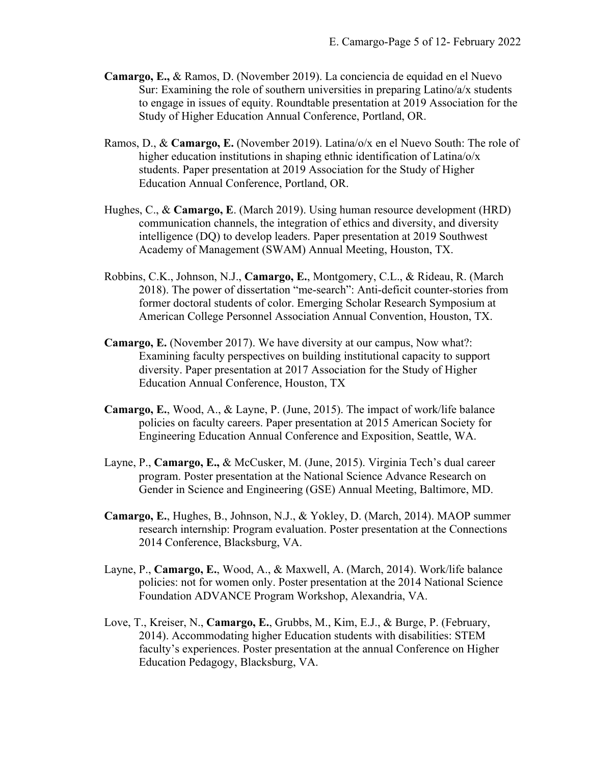- **Camargo, E.,** & Ramos, D. (November 2019). La conciencia de equidad en el Nuevo Sur: Examining the role of southern universities in preparing Latino/a/x students to engage in issues of equity. Roundtable presentation at 2019 Association for the Study of Higher Education Annual Conference, Portland, OR.
- Ramos, D., & **Camargo, E.** (November 2019). Latina/o/x en el Nuevo South: The role of higher education institutions in shaping ethnic identification of Latina/o/x students. Paper presentation at 2019 Association for the Study of Higher Education Annual Conference, Portland, OR.
- Hughes, C., & **Camargo, E**. (March 2019). Using human resource development (HRD) communication channels, the integration of ethics and diversity, and diversity intelligence (DQ) to develop leaders. Paper presentation at 2019 Southwest Academy of Management (SWAM) Annual Meeting, Houston, TX.
- Robbins, C.K., Johnson, N.J., **Camargo, E.**, Montgomery, C.L., & Rideau, R. (March 2018). The power of dissertation "me-search": Anti-deficit counter-stories from former doctoral students of color. Emerging Scholar Research Symposium at American College Personnel Association Annual Convention, Houston, TX.
- **Camargo, E.** (November 2017). We have diversity at our campus, Now what?: Examining faculty perspectives on building institutional capacity to support diversity. Paper presentation at 2017 Association for the Study of Higher Education Annual Conference, Houston, TX
- **Camargo, E.**, Wood, A., & Layne, P. (June, 2015). The impact of work/life balance policies on faculty careers. Paper presentation at 2015 American Society for Engineering Education Annual Conference and Exposition, Seattle, WA.
- Layne, P., **Camargo, E.,** & McCusker, M. (June, 2015). Virginia Tech's dual career program. Poster presentation at the National Science Advance Research on Gender in Science and Engineering (GSE) Annual Meeting, Baltimore, MD.
- **Camargo, E.**, Hughes, B., Johnson, N.J., & Yokley, D. (March, 2014). MAOP summer research internship: Program evaluation. Poster presentation at the Connections 2014 Conference, Blacksburg, VA.
- Layne, P., **Camargo, E.**, Wood, A., & Maxwell, A. (March, 2014). Work/life balance policies: not for women only. Poster presentation at the 2014 National Science Foundation ADVANCE Program Workshop, Alexandria, VA.
- Love, T., Kreiser, N., **Camargo, E.**, Grubbs, M., Kim, E.J., & Burge, P. (February, 2014). Accommodating higher Education students with disabilities: STEM faculty's experiences. Poster presentation at the annual Conference on Higher Education Pedagogy, Blacksburg, VA.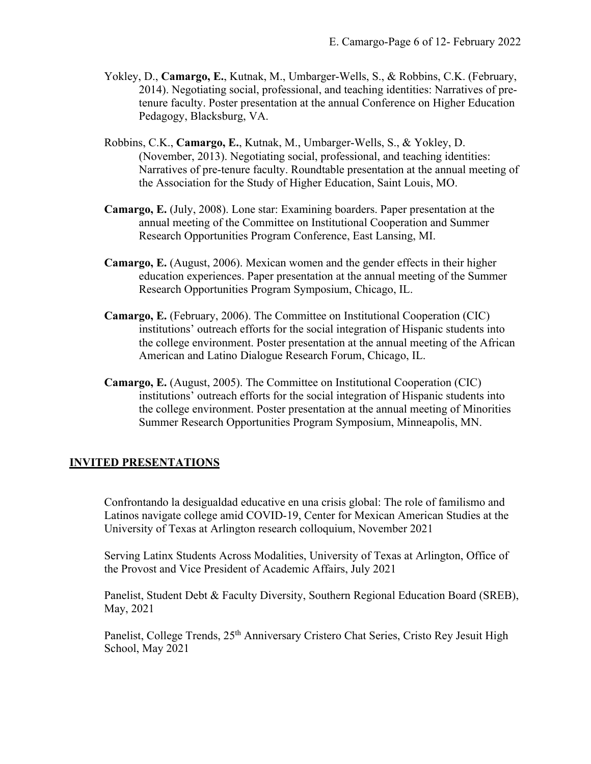- Yokley, D., **Camargo, E.**, Kutnak, M., Umbarger-Wells, S., & Robbins, C.K. (February, 2014). Negotiating social, professional, and teaching identities: Narratives of pretenure faculty. Poster presentation at the annual Conference on Higher Education Pedagogy, Blacksburg, VA.
- Robbins, C.K., **Camargo, E.**, Kutnak, M., Umbarger-Wells, S., & Yokley, D. (November, 2013). Negotiating social, professional, and teaching identities: Narratives of pre-tenure faculty. Roundtable presentation at the annual meeting of the Association for the Study of Higher Education, Saint Louis, MO.
- **Camargo, E.** (July, 2008). Lone star: Examining boarders. Paper presentation at the annual meeting of the Committee on Institutional Cooperation and Summer Research Opportunities Program Conference, East Lansing, MI.
- **Camargo, E.** (August, 2006). Mexican women and the gender effects in their higher education experiences. Paper presentation at the annual meeting of the Summer Research Opportunities Program Symposium, Chicago, IL.
- **Camargo, E.** (February, 2006). The Committee on Institutional Cooperation (CIC) institutions' outreach efforts for the social integration of Hispanic students into the college environment. Poster presentation at the annual meeting of the African American and Latino Dialogue Research Forum, Chicago, IL.
- **Camargo, E.** (August, 2005). The Committee on Institutional Cooperation (CIC) institutions' outreach efforts for the social integration of Hispanic students into the college environment. Poster presentation at the annual meeting of Minorities Summer Research Opportunities Program Symposium, Minneapolis, MN.

### **INVITED PRESENTATIONS**

Confrontando la desigualdad educative en una crisis global: The role of familismo and Latinos navigate college amid COVID-19, Center for Mexican American Studies at the University of Texas at Arlington research colloquium, November 2021

Serving Latinx Students Across Modalities, University of Texas at Arlington, Office of the Provost and Vice President of Academic Affairs, July 2021

Panelist, Student Debt & Faculty Diversity, Southern Regional Education Board (SREB), May, 2021

Panelist, College Trends, 25<sup>th</sup> Anniversary Cristero Chat Series, Cristo Rey Jesuit High School, May 2021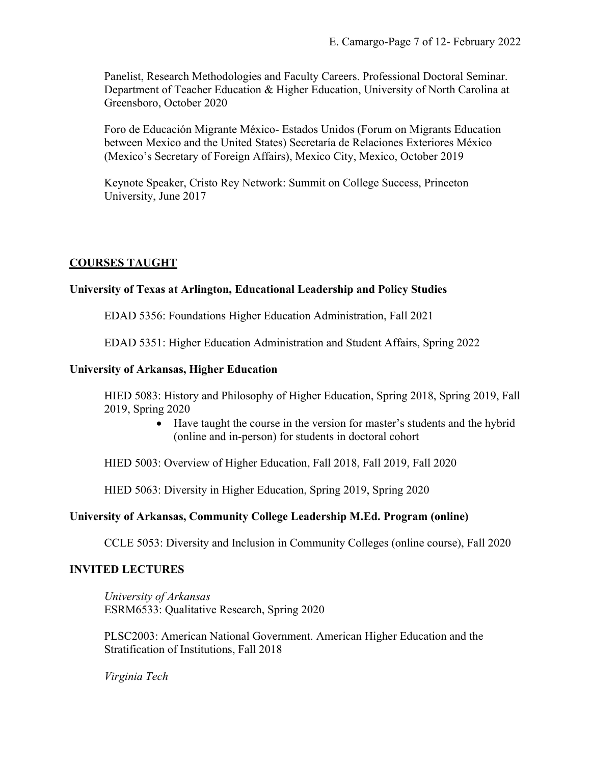Panelist, Research Methodologies and Faculty Careers. Professional Doctoral Seminar. Department of Teacher Education & Higher Education, University of North Carolina at Greensboro, October 2020

Foro de Educación Migrante México- Estados Unidos (Forum on Migrants Education between Mexico and the United States) Secretaría de Relaciones Exteriores México (Mexico's Secretary of Foreign Affairs), Mexico City, Mexico, October 2019

Keynote Speaker, Cristo Rey Network: Summit on College Success, Princeton University, June 2017

## **COURSES TAUGHT**

### **University of Texas at Arlington, Educational Leadership and Policy Studies**

EDAD 5356: Foundations Higher Education Administration, Fall 2021

EDAD 5351: Higher Education Administration and Student Affairs, Spring 2022

### **University of Arkansas, Higher Education**

HIED 5083: History and Philosophy of Higher Education, Spring 2018, Spring 2019, Fall 2019, Spring 2020

> • Have taught the course in the version for master's students and the hybrid (online and in-person) for students in doctoral cohort

HIED 5003: Overview of Higher Education, Fall 2018, Fall 2019, Fall 2020

HIED 5063: Diversity in Higher Education, Spring 2019, Spring 2020

### **University of Arkansas, Community College Leadership M.Ed. Program (online)**

CCLE 5053: Diversity and Inclusion in Community Colleges (online course), Fall 2020

### **INVITED LECTURES**

*University of Arkansas* ESRM6533: Qualitative Research, Spring 2020

PLSC2003: American National Government. American Higher Education and the Stratification of Institutions, Fall 2018

*Virginia Tech*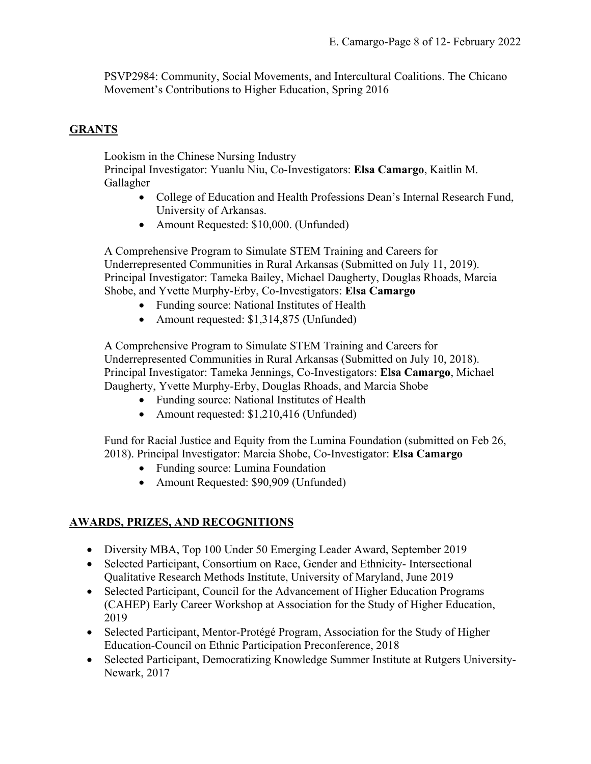PSVP2984: Community, Social Movements, and Intercultural Coalitions. The Chicano Movement's Contributions to Higher Education, Spring 2016

## **GRANTS**

Lookism in the Chinese Nursing Industry

Principal Investigator: Yuanlu Niu, Co-Investigators: **Elsa Camargo**, Kaitlin M. Gallagher

- College of Education and Health Professions Dean's Internal Research Fund, University of Arkansas.
- Amount Requested: \$10,000. (Unfunded)

A Comprehensive Program to Simulate STEM Training and Careers for Underrepresented Communities in Rural Arkansas (Submitted on July 11, 2019). Principal Investigator: Tameka Bailey, Michael Daugherty, Douglas Rhoads, Marcia Shobe, and Yvette Murphy-Erby, Co-Investigators: **Elsa Camargo**

- Funding source: National Institutes of Health
- Amount requested: \$1,314,875 (Unfunded)

A Comprehensive Program to Simulate STEM Training and Careers for Underrepresented Communities in Rural Arkansas (Submitted on July 10, 2018). Principal Investigator: Tameka Jennings, Co-Investigators: **Elsa Camargo**, Michael Daugherty, Yvette Murphy-Erby, Douglas Rhoads, and Marcia Shobe

- Funding source: National Institutes of Health
- Amount requested: \$1,210,416 (Unfunded)

Fund for Racial Justice and Equity from the Lumina Foundation (submitted on Feb 26, 2018). Principal Investigator: Marcia Shobe, Co-Investigator: **Elsa Camargo**

- Funding source: Lumina Foundation
- Amount Requested: \$90,909 (Unfunded)

# **AWARDS, PRIZES, AND RECOGNITIONS**

- Diversity MBA, Top 100 Under 50 Emerging Leader Award, September 2019
- Selected Participant, Consortium on Race, Gender and Ethnicity- Intersectional Qualitative Research Methods Institute, University of Maryland, June 2019
- Selected Participant, Council for the Advancement of Higher Education Programs (CAHEP) Early Career Workshop at Association for the Study of Higher Education, 2019
- Selected Participant, Mentor-Protégé Program, Association for the Study of Higher Education-Council on Ethnic Participation Preconference, 2018
- Selected Participant, Democratizing Knowledge Summer Institute at Rutgers University-Newark, 2017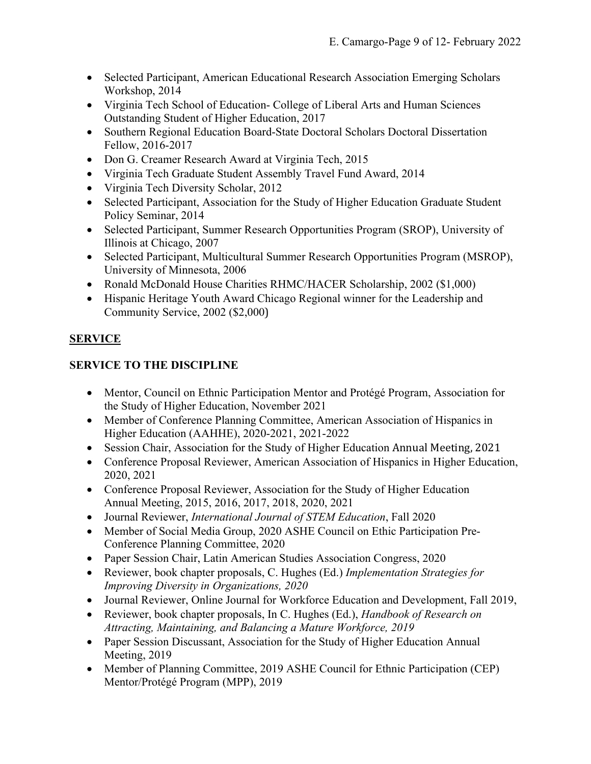- Selected Participant, American Educational Research Association Emerging Scholars Workshop, 2014
- Virginia Tech School of Education- College of Liberal Arts and Human Sciences Outstanding Student of Higher Education, 2017
- Southern Regional Education Board-State Doctoral Scholars Doctoral Dissertation Fellow, 2016-2017
- Don G. Creamer Research Award at Virginia Tech, 2015
- Virginia Tech Graduate Student Assembly Travel Fund Award, 2014
- Virginia Tech Diversity Scholar, 2012
- Selected Participant, Association for the Study of Higher Education Graduate Student Policy Seminar, 2014
- Selected Participant, Summer Research Opportunities Program (SROP), University of Illinois at Chicago, 2007
- Selected Participant, Multicultural Summer Research Opportunities Program (MSROP), University of Minnesota, 2006
- Ronald McDonald House Charities RHMC/HACER Scholarship, 2002 (\$1,000)
- Hispanic Heritage Youth Award Chicago Regional winner for the Leadership and Community Service, 2002 (\$2,000)

# **SERVICE**

# **SERVICE TO THE DISCIPLINE**

- Mentor, Council on Ethnic Participation Mentor and Protégé Program, Association for the Study of Higher Education, November 2021
- Member of Conference Planning Committee, American Association of Hispanics in Higher Education (AAHHE), 2020-2021, 2021-2022
- Session Chair, Association for the Study of Higher Education Annual Meeting, 2021
- Conference Proposal Reviewer, American Association of Hispanics in Higher Education, 2020, 2021
- Conference Proposal Reviewer, Association for the Study of Higher Education Annual Meeting, 2015, 2016, 2017, 2018, 2020, 2021
- Journal Reviewer, *International Journal of STEM Education*, Fall 2020
- Member of Social Media Group, 2020 ASHE Council on Ethic Participation Pre-Conference Planning Committee, 2020
- Paper Session Chair, Latin American Studies Association Congress, 2020
- Reviewer, book chapter proposals, C. Hughes (Ed.) *Implementation Strategies for Improving Diversity in Organizations, 2020*
- Journal Reviewer, Online Journal for Workforce Education and Development, Fall 2019,
- Reviewer, book chapter proposals, In C. Hughes (Ed.), *Handbook of Research on Attracting, Maintaining, and Balancing a Mature Workforce, 2019*
- Paper Session Discussant, Association for the Study of Higher Education Annual Meeting, 2019
- Member of Planning Committee, 2019 ASHE Council for Ethnic Participation (CEP) Mentor/Protégé Program (MPP), 2019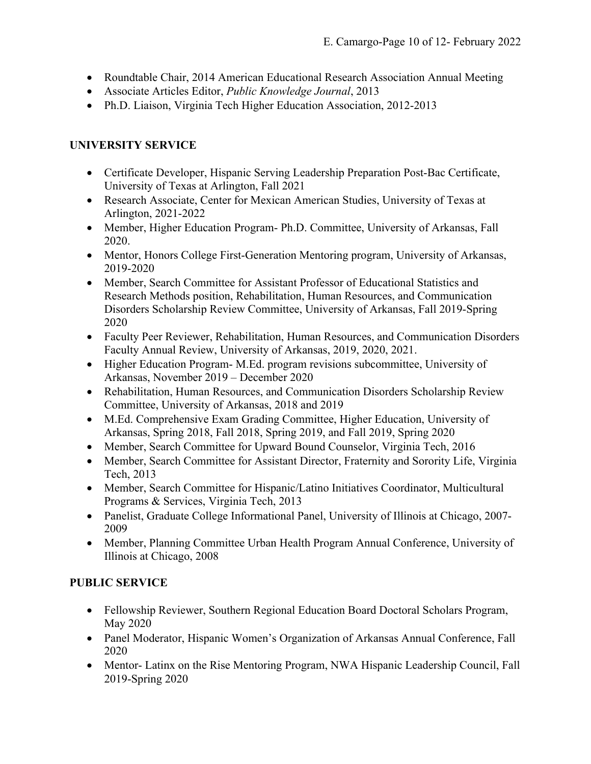- Roundtable Chair, 2014 American Educational Research Association Annual Meeting
- Associate Articles Editor, *Public Knowledge Journal*, 2013
- Ph.D. Liaison, Virginia Tech Higher Education Association, 2012-2013

## **UNIVERSITY SERVICE**

- Certificate Developer, Hispanic Serving Leadership Preparation Post-Bac Certificate, University of Texas at Arlington, Fall 2021
- Research Associate, Center for Mexican American Studies, University of Texas at Arlington, 2021-2022
- Member, Higher Education Program- Ph.D. Committee, University of Arkansas, Fall 2020.
- Mentor, Honors College First-Generation Mentoring program, University of Arkansas, 2019-2020
- Member, Search Committee for Assistant Professor of Educational Statistics and Research Methods position, Rehabilitation, Human Resources, and Communication Disorders Scholarship Review Committee, University of Arkansas, Fall 2019-Spring 2020
- Faculty Peer Reviewer, Rehabilitation, Human Resources, and Communication Disorders Faculty Annual Review, University of Arkansas, 2019, 2020, 2021.
- Higher Education Program- M.Ed. program revisions subcommittee, University of Arkansas, November 2019 – December 2020
- Rehabilitation, Human Resources, and Communication Disorders Scholarship Review Committee, University of Arkansas, 2018 and 2019
- M.Ed. Comprehensive Exam Grading Committee, Higher Education, University of Arkansas, Spring 2018, Fall 2018, Spring 2019, and Fall 2019, Spring 2020
- Member, Search Committee for Upward Bound Counselor, Virginia Tech, 2016
- Member, Search Committee for Assistant Director, Fraternity and Sorority Life, Virginia Tech, 2013
- Member, Search Committee for Hispanic/Latino Initiatives Coordinator, Multicultural Programs & Services, Virginia Tech, 2013
- Panelist, Graduate College Informational Panel, University of Illinois at Chicago, 2007- 2009
- Member, Planning Committee Urban Health Program Annual Conference, University of Illinois at Chicago, 2008

# **PUBLIC SERVICE**

- Fellowship Reviewer, Southern Regional Education Board Doctoral Scholars Program, May 2020
- Panel Moderator, Hispanic Women's Organization of Arkansas Annual Conference, Fall 2020
- Mentor- Latinx on the Rise Mentoring Program, NWA Hispanic Leadership Council, Fall 2019-Spring 2020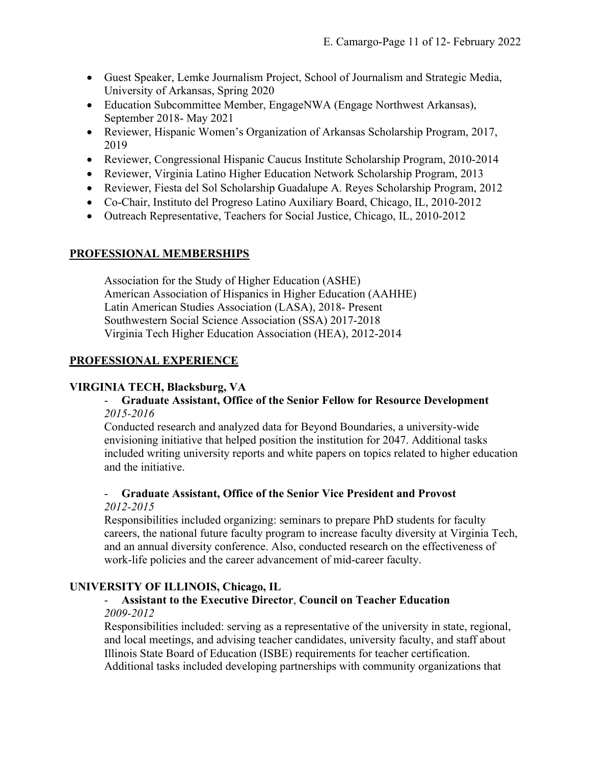- Guest Speaker, Lemke Journalism Project, School of Journalism and Strategic Media, University of Arkansas, Spring 2020
- Education Subcommittee Member, EngageNWA (Engage Northwest Arkansas), September 2018- May 2021
- Reviewer, Hispanic Women's Organization of Arkansas Scholarship Program, 2017, 2019
- Reviewer, Congressional Hispanic Caucus Institute Scholarship Program, 2010-2014
- Reviewer, Virginia Latino Higher Education Network Scholarship Program, 2013
- Reviewer, Fiesta del Sol Scholarship Guadalupe A. Reyes Scholarship Program, 2012
- Co-Chair, Instituto del Progreso Latino Auxiliary Board, Chicago, IL, 2010-2012
- Outreach Representative, Teachers for Social Justice, Chicago, IL, 2010-2012

## **PROFESSIONAL MEMBERSHIPS**

Association for the Study of Higher Education (ASHE) American Association of Hispanics in Higher Education (AAHHE) Latin American Studies Association (LASA), 2018- Present Southwestern Social Science Association (SSA) 2017-2018 Virginia Tech Higher Education Association (HEA), 2012-2014

# **PROFESSIONAL EXPERIENCE**

## **VIRGINIA TECH, Blacksburg, VA**

## - **Graduate Assistant, Office of the Senior Fellow for Resource Development** *2015-2016*

Conducted research and analyzed data for Beyond Boundaries, a university-wide envisioning initiative that helped position the institution for 2047. Additional tasks included writing university reports and white papers on topics related to higher education and the initiative.

### - **Graduate Assistant, Office of the Senior Vice President and Provost** *2012-2015*

Responsibilities included organizing: seminars to prepare PhD students for faculty careers, the national future faculty program to increase faculty diversity at Virginia Tech, and an annual diversity conference. Also, conducted research on the effectiveness of work-life policies and the career advancement of mid-career faculty.

# **UNIVERSITY OF ILLINOIS, Chicago, IL**

## - **Assistant to the Executive Director**, **Council on Teacher Education** *2009-2012*

Responsibilities included: serving as a representative of the university in state, regional, and local meetings, and advising teacher candidates, university faculty, and staff about Illinois State Board of Education (ISBE) requirements for teacher certification. Additional tasks included developing partnerships with community organizations that